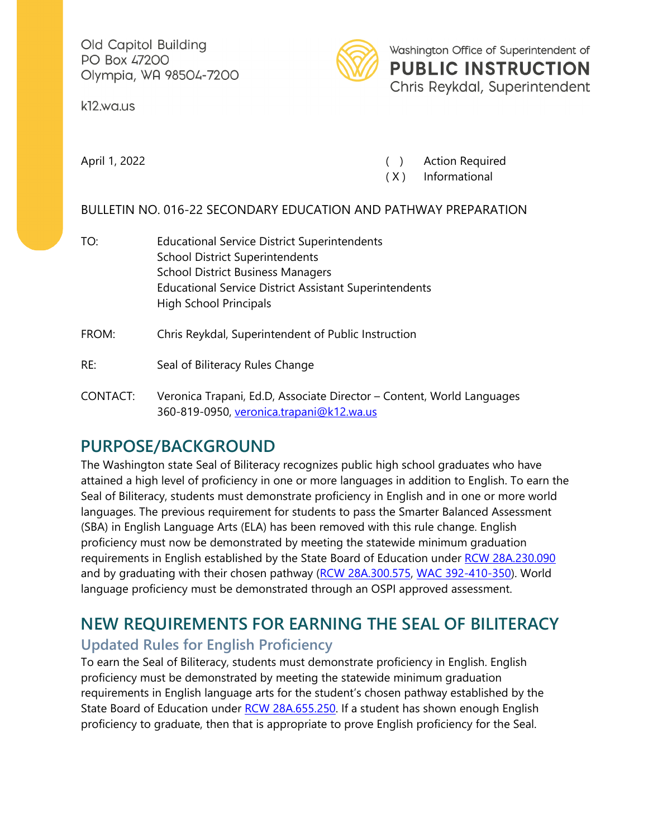Old Capitol Building PO Box 47200 Olympia, WA 98504-7200

k12.wa.us



Washington Office of Superintendent of **PUBLIC INSTRUCTION** Chris Reykdal, Superintendent

April 1, 2022 **(a)** Action Required

( X ) Informational

#### BULLETIN NO. 016-22 SECONDARY EDUCATION AND PATHWAY PREPARATION

- TO: Educational Service District Superintendents School District Superintendents School District Business Managers Educational Service District Assistant Superintendents High School Principals
- FROM: Chris Reykdal, Superintendent of Public Instruction
- RE: Seal of Biliteracy Rules Change
- CONTACT: Veronica Trapani, Ed.D, Associate Director Content, World Languages 360-819-0950, [veronica.trapani@k12.wa.us](mailto:veronica.trapani@k12.wa.us)

# **PURPOSE/BACKGROUND**

The Washington state Seal of Biliteracy recognizes public high school graduates who have attained a high level of proficiency in one or more languages in addition to English. To earn the Seal of Biliteracy, students must demonstrate proficiency in English and in one or more world languages. The previous requirement for students to pass the Smarter Balanced Assessment (SBA) in English Language Arts (ELA) has been removed with this rule change. English proficiency must now be demonstrated by meeting the statewide minimum graduation requirements in English established by the State Board of Education under [RCW 28A.230.090](https://apps.leg.wa.gov/RCW/default.aspx?cite=28A.230.090) and by graduating with their chosen pathway [\(RCW 28A.300.575,](https://app.leg.wa.gov/RCW/default.aspx?cite=28A.300.575) [WAC 392-410-350\)](https://apps.leg.wa.gov/WAC/default.aspx?cite=392-410-350). World language proficiency must be demonstrated through an OSPI approved assessment.

## **NEW REQUIREMENTS FOR EARNING THE SEAL OF BILITERACY Updated Rules for English Proficiency**

To earn the Seal of Biliteracy, students must demonstrate proficiency in English. English proficiency must be demonstrated by meeting the statewide minimum graduation requirements in English language arts for the student's chosen pathway established by the State Board of Education under [RCW 28A.655.250.](https://app.leg.wa.gov/RCW/default.aspx?cite=28A.655.250) If a student has shown enough English proficiency to graduate, then that is appropriate to prove English proficiency for the Seal.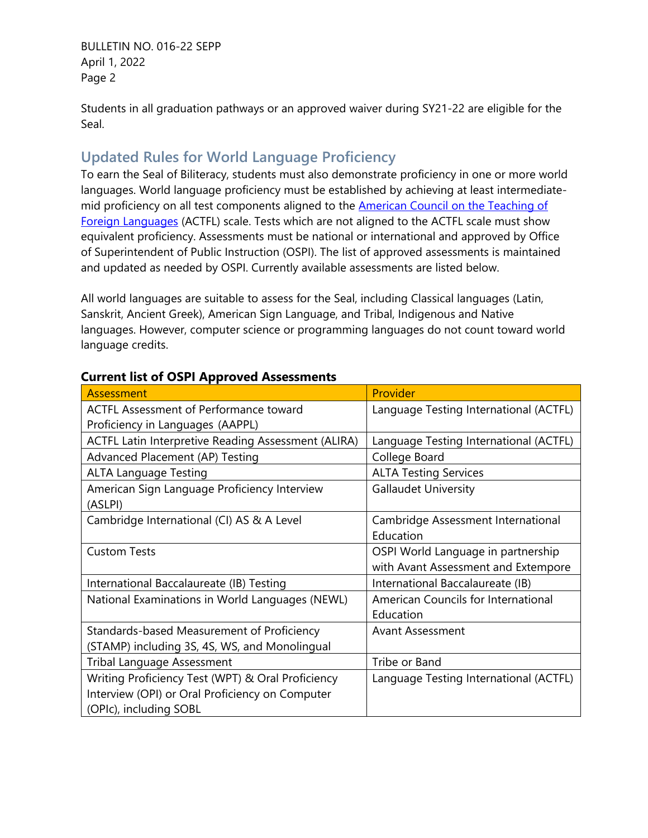BULLETIN NO. 016-22 SEPP April 1, 2022 Page 2

Students in all graduation pathways or an approved waiver during SY21-22 are eligible for the Seal.

### **Updated Rules for World Language Proficiency**

To earn the Seal of Biliteracy, students must also demonstrate proficiency in one or more world languages. World language proficiency must be established by achieving at least intermediatemid proficiency on all test components aligned to the **American Council on the Teaching of** [Foreign Languages](https://www.actfl.org/resources/actfl-proficiency-guidelines-2012) (ACTFL) scale. Tests which are not aligned to the ACTFL scale must show equivalent proficiency. Assessments must be national or international and approved by Office of Superintendent of Public Instruction (OSPI). The list of approved assessments is maintained and updated as needed by OSPI. Currently available assessments are listed below.

All world languages are suitable to assess for the Seal, including Classical languages (Latin, Sanskrit, Ancient Greek), American Sign Language, and Tribal, Indigenous and Native languages. However, computer science or programming languages do not count toward world language credits.

| Assessment                                          | Provider                               |
|-----------------------------------------------------|----------------------------------------|
| <b>ACTFL Assessment of Performance toward</b>       | Language Testing International (ACTFL) |
| Proficiency in Languages (AAPPL)                    |                                        |
| ACTFL Latin Interpretive Reading Assessment (ALIRA) | Language Testing International (ACTFL) |
| Advanced Placement (AP) Testing                     | College Board                          |
| <b>ALTA Language Testing</b>                        | <b>ALTA Testing Services</b>           |
| American Sign Language Proficiency Interview        | <b>Gallaudet University</b>            |
| (ASLPI)                                             |                                        |
| Cambridge International (CI) AS & A Level           | Cambridge Assessment International     |
|                                                     | Education                              |
| <b>Custom Tests</b>                                 | OSPI World Language in partnership     |
|                                                     | with Avant Assessment and Extempore    |
| International Baccalaureate (IB) Testing            | International Baccalaureate (IB)       |
| National Examinations in World Languages (NEWL)     | American Councils for International    |
|                                                     | Education                              |
| Standards-based Measurement of Proficiency          | <b>Avant Assessment</b>                |
| (STAMP) including 3S, 4S, WS, and Monolingual       |                                        |
| <b>Tribal Language Assessment</b>                   | Tribe or Band                          |
| Writing Proficiency Test (WPT) & Oral Proficiency   | Language Testing International (ACTFL) |
| Interview (OPI) or Oral Proficiency on Computer     |                                        |
| (OPIc), including SOBL                              |                                        |

#### **Current list of OSPI Approved Assessments**